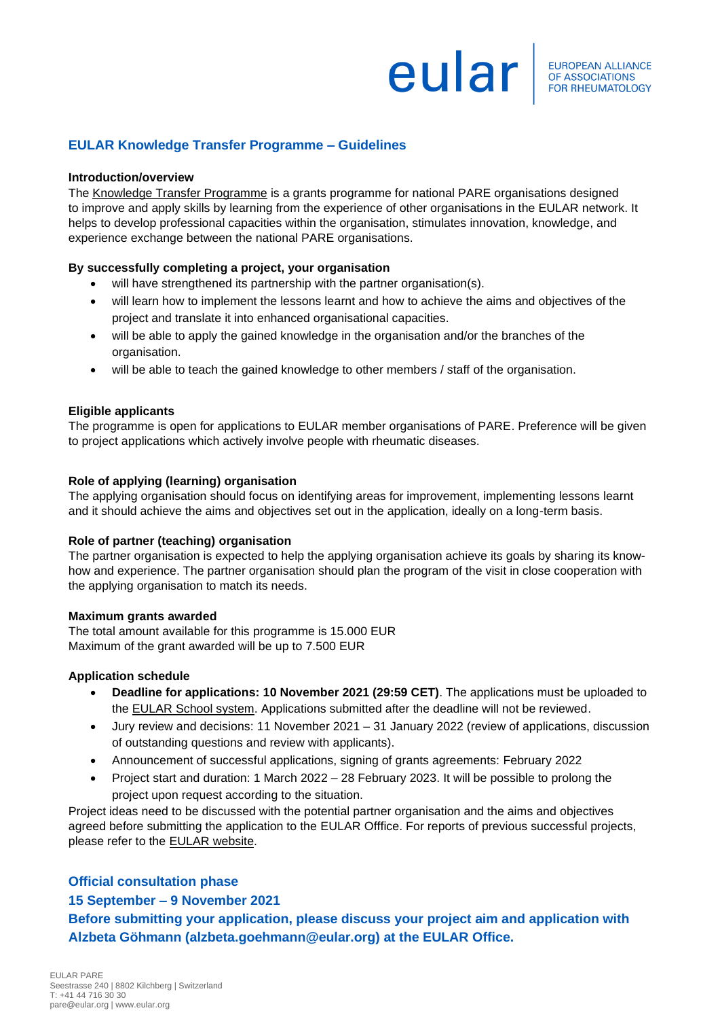# **europEAN ALLIANCE**

# **EULAR Knowledge Transfer Programme – Guidelines**

#### **Introduction/overview**

The [Knowledge Transfer Programme](https://www.eular.org/pare_knowledge_transfer_progamme.cfm) is a grants programme for national PARE organisations designed to improve and apply skills by learning from the experience of other organisations in the EULAR network. It helps to develop professional capacities within the organisation, stimulates innovation, knowledge, and experience exchange between the national PARE organisations.

# **By successfully completing a project, your organisation**

- will have strengthened its partnership with the partner organisation(s).
- will learn how to implement the lessons learnt and how to achieve the aims and objectives of the project and translate it into enhanced organisational capacities.
- will be able to apply the gained knowledge in the organisation and/or the branches of the organisation.
- will be able to teach the gained knowledge to other members / staff of the organisation.

# **Eligible applicants**

The programme is open for applications to EULAR member organisations of PARE. Preference will be given to project applications which actively involve people with rheumatic diseases.

# **Role of applying (learning) organisation**

The applying organisation should focus on identifying areas for improvement, implementing lessons learnt and it should achieve the aims and objectives set out in the application, ideally on a long-term basis.

# **Role of partner (teaching) organisation**

The partner organisation is expected to help the applying organisation achieve its goals by sharing its knowhow and experience. The partner organisation should plan the program of the visit in close cooperation with the applying organisation to match its needs.

#### **Maximum grants awarded**

The total amount available for this programme is 15.000 EUR Maximum of the grant awarded will be up to 7.500 EUR

# **Application schedule**

- **Deadline for applications: 10 November 2021 (29:59 CET)**. The applications must be uploaded to the [EULAR School system.](https://esor.eular.org/totara/catalog/index.php?catalog_cat_browse=77&orderbykey=text&itemstyle=narrow) Applications submitted after the deadline will not be reviewed.
- Jury review and decisions: 11 November 2021 31 January 2022 (review of applications, discussion of outstanding questions and review with applicants).
- Announcement of successful applications, signing of grants agreements: February 2022
- Project start and duration: 1 March 2022 28 February 2023. It will be possible to prolong the project upon request according to the situation.

Project ideas need to be discussed with the potential partner organisation and the aims and objectives agreed before submitting the application to the EULAR Offfice. For reports of previous successful projects, please refer to the [EULAR website.](http://www.eular.org/pare_knowledge_transfer_prgm.cfm)

# **Official consultation phase**

# **15 September – 9 November 2021**

**Before submitting your application, please discuss your project aim and application with Alzbeta Göhmann (alzbeta.goehmann@eular.org) at the EULAR Office.**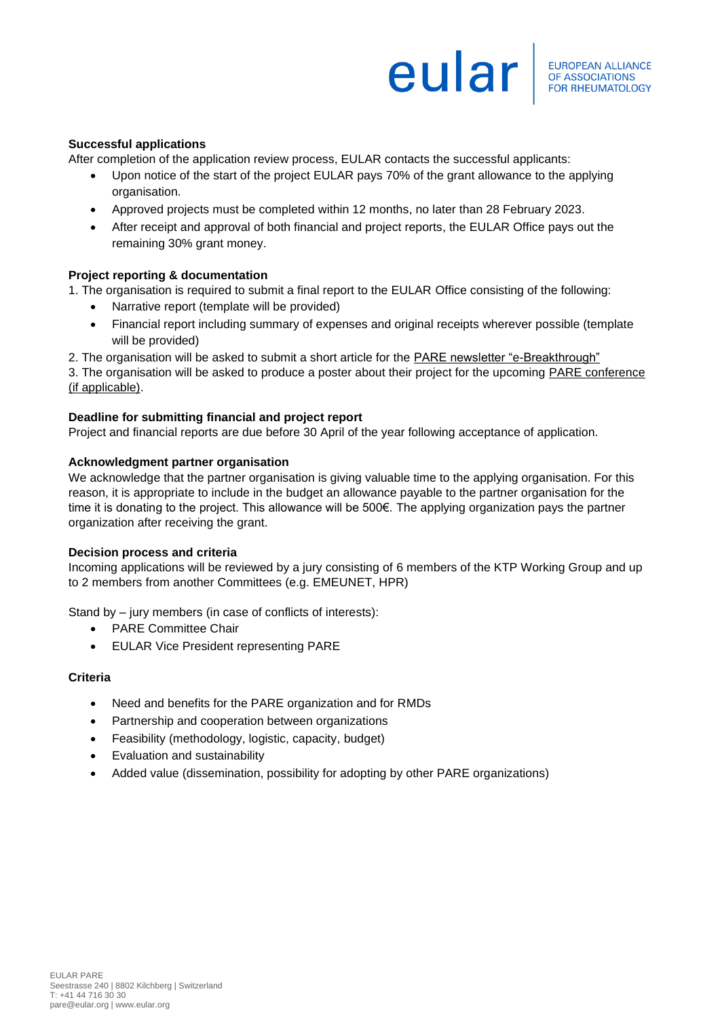# **europEAN ALLIANCE**

# **Successful applications**

After completion of the application review process, EULAR contacts the successful applicants:

- Upon notice of the start of the project EULAR pays 70% of the grant allowance to the applying organisation.
- Approved projects must be completed within 12 months, no later than 28 February 2023.
- After receipt and approval of both financial and project reports, the EULAR Office pays out the remaining 30% grant money.

# **Project reporting & documentation**

1. The organisation is required to submit a final report to the EULAR Office consisting of the following:

- Narrative report (template will be provided)
- Financial report including summary of expenses and original receipts wherever possible (template will be provided)
- 2. The organisation will be asked to submit a short article for the [PARE newsletter "e-Breakthrough"](http://www.eular.org/pare_newsletters.cfm)

3. The organisation will be asked to produce a poster about their project for the upcoming [PARE conference](http://www.eular.org/pare_annual_conference.cfm) [\(if applicable\).](http://www.eular.org/pare_annual_conference.cfm)

#### **Deadline for submitting financial and project report**

Project and financial reports are due before 30 April of the year following acceptance of application.

#### **Acknowledgment partner organisation**

We acknowledge that the partner organisation is giving valuable time to the applying organisation. For this reason, it is appropriate to include in the budget an allowance payable to the partner organisation for the time it is donating to the project. This allowance will be 500€. The applying organization pays the partner organization after receiving the grant.

#### **Decision process and criteria**

Incoming applications will be reviewed by a jury consisting of 6 members of the KTP Working Group and up to 2 members from another Committees (e.g. EMEUNET, HPR)

Stand by – jury members (in case of conflicts of interests):

- PARE Committee Chair
- EULAR Vice President representing PARE

#### **Criteria**

- Need and benefits for the PARE organization and for RMDs
- Partnership and cooperation between organizations
- Feasibility (methodology, logistic, capacity, budget)
- Evaluation and sustainability
- Added value (dissemination, possibility for adopting by other PARE organizations)